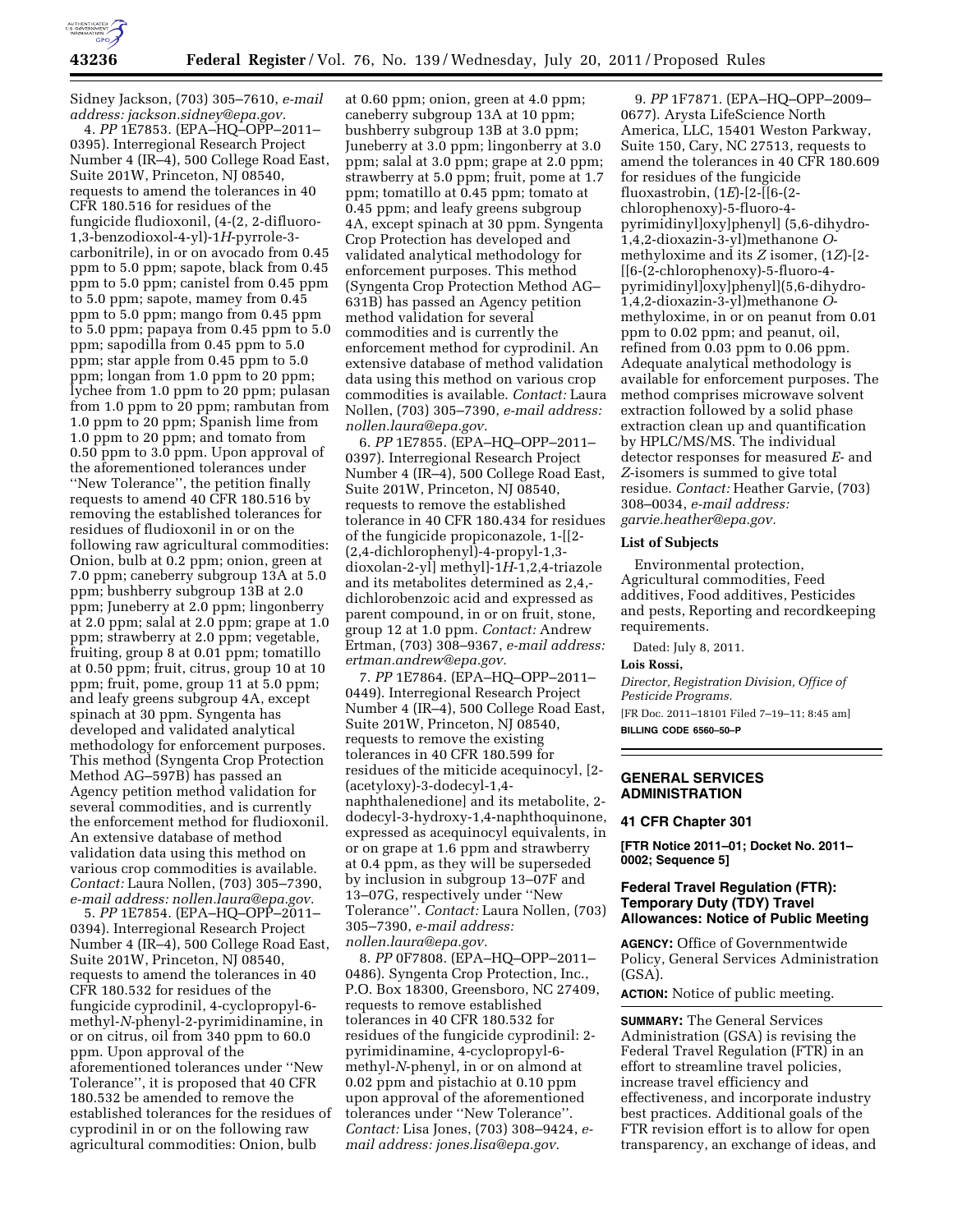

Sidney Jackson, (703) 305–7610, *e-mail address: [jackson.sidney@epa.gov.](mailto:jackson.sidney@epa.gov)* 

4. *PP* 1E7853. (EPA–HQ–OPP–2011– 0395). Interregional Research Project Number 4 (IR–4), 500 College Road East, Suite 201W, Princeton, NJ 08540, requests to amend the tolerances in 40 CFR 180.516 for residues of the fungicide fludioxonil, (4-(2, 2-difluoro-1,3-benzodioxol-4-yl)-1*H*-pyrrole-3 carbonitrile), in or on avocado from 0.45 ppm to 5.0 ppm; sapote, black from 0.45 ppm to 5.0 ppm; canistel from 0.45 ppm to 5.0 ppm; sapote, mamey from 0.45 ppm to 5.0 ppm; mango from 0.45 ppm to 5.0 ppm; papaya from 0.45 ppm to 5.0 ppm; sapodilla from 0.45 ppm to 5.0 ppm; star apple from 0.45 ppm to 5.0 ppm; longan from 1.0 ppm to 20 ppm; lychee from 1.0 ppm to 20 ppm; pulasan from 1.0 ppm to 20 ppm; rambutan from 1.0 ppm to 20 ppm; Spanish lime from 1.0 ppm to 20 ppm; and tomato from 0.50 ppm to 3.0 ppm. Upon approval of the aforementioned tolerances under ''New Tolerance'', the petition finally requests to amend 40 CFR 180.516 by removing the established tolerances for residues of fludioxonil in or on the following raw agricultural commodities: Onion, bulb at 0.2 ppm; onion, green at 7.0 ppm; caneberry subgroup 13A at 5.0 ppm; bushberry subgroup 13B at 2.0 ppm; Juneberry at 2.0 ppm; lingonberry at 2.0 ppm; salal at 2.0 ppm; grape at 1.0 ppm; strawberry at 2.0 ppm; vegetable, fruiting, group 8 at 0.01 ppm; tomatillo at 0.50 ppm; fruit, citrus, group 10 at 10 ppm; fruit, pome, group 11 at 5.0 ppm; and leafy greens subgroup 4A, except spinach at 30 ppm. Syngenta has developed and validated analytical methodology for enforcement purposes. This method (Syngenta Crop Protection Method AG–597B) has passed an Agency petition method validation for several commodities, and is currently the enforcement method for fludioxonil. An extensive database of method validation data using this method on various crop commodities is available. *Contact:* Laura Nollen, (703) 305–7390, *e-mail address: [nollen.laura@epa.gov.](mailto:nollen.laura@epa.gov)* 

5. *PP* 1E7854. (EPA–HQ–OPP–2011– 0394). Interregional Research Project Number 4 (IR–4), 500 College Road East, Suite 201W, Princeton, NJ 08540, requests to amend the tolerances in 40 CFR 180.532 for residues of the fungicide cyprodinil, 4-cyclopropyl-6 methyl-*N-*phenyl-2-pyrimidinamine, in or on citrus, oil from 340 ppm to 60.0 ppm. Upon approval of the aforementioned tolerances under ''New Tolerance'', it is proposed that 40 CFR 180.532 be amended to remove the established tolerances for the residues of cyprodinil in or on the following raw agricultural commodities: Onion, bulb

at 0.60 ppm; onion, green at 4.0 ppm; caneberry subgroup 13A at 10 ppm; bushberry subgroup 13B at 3.0 ppm; Juneberry at 3.0 ppm; lingonberry at 3.0 ppm; salal at 3.0 ppm; grape at 2.0 ppm; strawberry at 5.0 ppm; fruit, pome at 1.7 ppm; tomatillo at 0.45 ppm; tomato at 0.45 ppm; and leafy greens subgroup 4A, except spinach at 30 ppm. Syngenta Crop Protection has developed and validated analytical methodology for enforcement purposes. This method (Syngenta Crop Protection Method AG– 631B) has passed an Agency petition method validation for several commodities and is currently the enforcement method for cyprodinil. An extensive database of method validation data using this method on various crop commodities is available. *Contact:* Laura Nollen, (703) 305–7390, *e-mail address: [nollen.laura@epa.gov.](mailto:nollen.laura@epa.gov)* 

6. *PP* 1E7855. (EPA–HQ–OPP–2011– 0397). Interregional Research Project Number 4 (IR–4), 500 College Road East, Suite 201W, Princeton, NJ 08540, requests to remove the established tolerance in 40 CFR 180.434 for residues of the fungicide propiconazole, 1-[[2- (2,4-dichlorophenyl)-4-propyl-1,3 dioxolan-2-yl] methyl]-1*H*-1,2,4-triazole and its metabolites determined as 2,4, dichlorobenzoic acid and expressed as parent compound, in or on fruit, stone, group 12 at 1.0 ppm. *Contact:* Andrew Ertman, (703) 308–9367, *e-mail address: [ertman.andrew@epa.gov.](mailto:ertman.andrew@epa.gov)* 

7. *PP* 1E7864. (EPA–HQ–OPP–2011– 0449). Interregional Research Project Number 4 (IR–4), 500 College Road East, Suite 201W, Princeton, NJ 08540, requests to remove the existing tolerances in 40 CFR 180.599 for residues of the miticide acequinocyl, [2- (acetyloxy)-3-dodecyl-1,4 naphthalenedione] and its metabolite, 2 dodecyl-3-hydroxy-1,4-naphthoquinone, expressed as acequinocyl equivalents, in or on grape at 1.6 ppm and strawberry at 0.4 ppm, as they will be superseded by inclusion in subgroup 13–07F and 13–07G, respectively under ''New Tolerance''. *Contact:* Laura Nollen, (703) 305–7390, *e-mail address: [nollen.laura@epa.gov.](mailto:nollen.laura@epa.gov)* 

8. *PP* 0F7808. (EPA–HQ–OPP–2011– 0486). Syngenta Crop Protection, Inc., P.O. Box 18300, Greensboro, NC 27409, requests to remove established tolerances in 40 CFR 180.532 for residues of the fungicide cyprodinil: 2 pyrimidinamine, 4-cyclopropyl-6 methyl-*N*-phenyl, in or on almond at 0.02 ppm and pistachio at 0.10 ppm upon approval of the aforementioned tolerances under ''New Tolerance''. *Contact:* Lisa Jones, (703) 308–9424, *email address: [jones.lisa@epa.gov.](mailto:jones.lisa@epa.gov)* 

9. *PP* 1F7871. (EPA–HQ–OPP–2009– 0677). Arysta LifeScience North America, LLC, 15401 Weston Parkway, Suite 150, Cary, NC 27513, requests to amend the tolerances in 40 CFR 180.609 for residues of the fungicide fluoxastrobin, (1*E*)-[2-[[6-(2 chlorophenoxy)-5-fluoro-4 pyrimidinyl]oxy]phenyl] (5,6-dihydro-1,4,2-dioxazin-3-yl)methanone *O*methyloxime and its *Z* isomer, (1*Z*)-[2- [[6-(2-chlorophenoxy)-5-fluoro-4 pyrimidinyl]oxy]phenyl](5,6-dihydro-1,4,2-dioxazin-3-yl)methanone *O*methyloxime, in or on peanut from 0.01 ppm to 0.02 ppm; and peanut, oil, refined from 0.03 ppm to 0.06 ppm. Adequate analytical methodology is available for enforcement purposes. The method comprises microwave solvent extraction followed by a solid phase extraction clean up and quantification by HPLC/MS/MS. The individual detector responses for measured *E*- and *Z*-isomers is summed to give total residue. *Contact:* Heather Garvie, (703) 308–0034, *e-mail address: [garvie.heather@epa.gov.](mailto:garvie.heather@epa.gov)* 

## **List of Subjects**

Environmental protection, Agricultural commodities, Feed additives, Food additives, Pesticides and pests, Reporting and recordkeeping requirements.

Dated: July 8, 2011.

#### **Lois Rossi,**

*Director, Registration Division, Office of Pesticide Programs.* 

[FR Doc. 2011–18101 Filed 7–19–11; 8:45 am] **BILLING CODE 6560–50–P** 

# **GENERAL SERVICES ADMINISTRATION**

### **41 CFR Chapter 301**

**[FTR Notice 2011–01; Docket No. 2011– 0002; Sequence 5]** 

# **Federal Travel Regulation (FTR): Temporary Duty (TDY) Travel Allowances: Notice of Public Meeting**

**AGENCY:** Office of Governmentwide Policy, General Services Administration (GSA).

**ACTION:** Notice of public meeting.

**SUMMARY:** The General Services Administration (GSA) is revising the Federal Travel Regulation (FTR) in an effort to streamline travel policies, increase travel efficiency and effectiveness, and incorporate industry best practices. Additional goals of the FTR revision effort is to allow for open transparency, an exchange of ideas, and